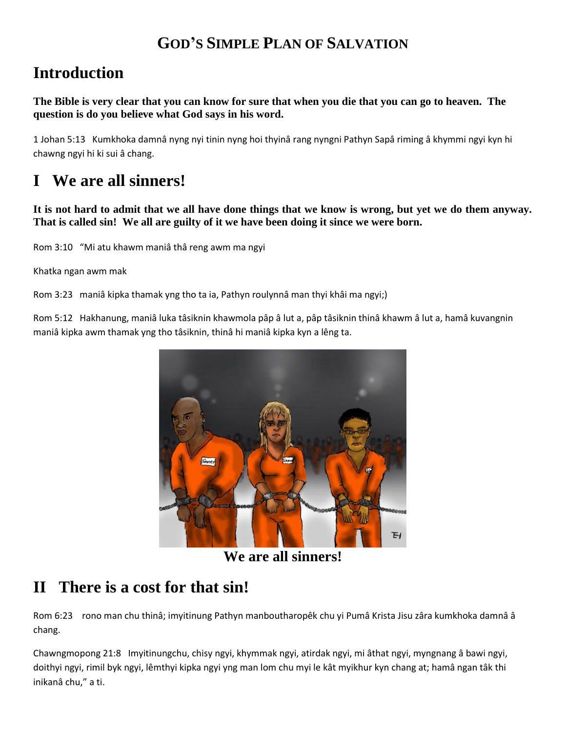## **GOD'S SIMPLE PLAN OF SALVATION**

# **Introduction**

**The Bible is very clear that you can know for sure that when you die that you can go to heaven. The question is do you believe what God says in his word.**

1 Johan 5:13 Kumkhoka damnâ nyng nyi tinin nyng hoi thyinâ rang nyngni Pathyn Sapâ riming â khymmi ngyi kyn hi chawng ngyi hi ki sui â chang.

# **I We are all sinners!**

**It is not hard to admit that we all have done things that we know is wrong, but yet we do them anyway. That is called sin! We all are guilty of it we have been doing it since we were born.**

Rom 3:10 "Mi atu khawm maniâ thâ reng awm ma ngyi

Khatka ngan awm mak

Rom 3:23 maniâ kipka thamak yng tho ta ia, Pathyn roulynnâ man thyi khâi ma ngyi;)

Rom 5:12 Hakhanung, maniâ luka tâsiknin khawmola pâp â lut a, pâp tâsiknin thinâ khawm â lut a, hamâ kuvangnin maniâ kipka awm thamak yng tho tâsiknin, thinâ hi maniâ kipka kyn a lêng ta.



**We are all sinners!**

## **II There is a cost for that sin!**

Rom 6:23 rono man chu thinâ; imyitinung Pathyn manboutharopêk chu yi Pumâ Krista Jisu zâra kumkhoka damnâ â chang.

Chawngmopong 21:8 Imyitinungchu, chisy ngyi, khymmak ngyi, atirdak ngyi, mi âthat ngyi, myngnang â bawi ngyi, doithyi ngyi, rimil byk ngyi, lêmthyi kipka ngyi yng man lom chu myi le kât myikhur kyn chang at; hamâ ngan tâk thi inikanâ chu," a ti.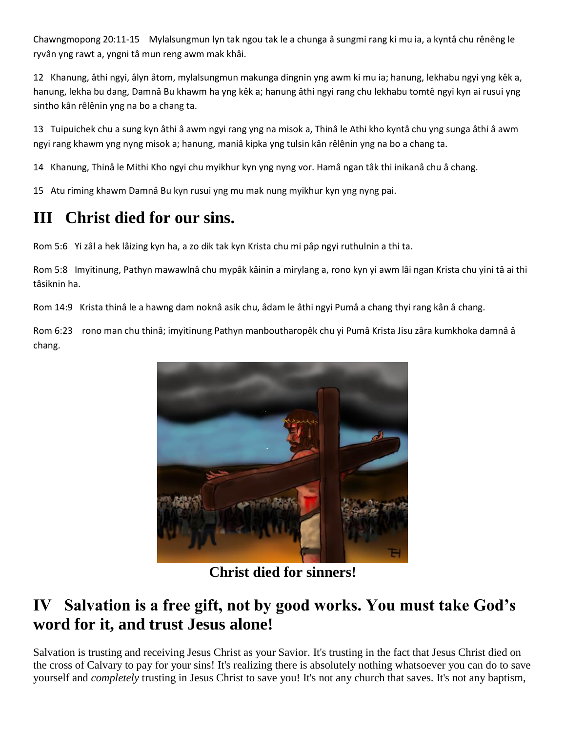Chawngmopong 20:11-15 Mylalsungmun lyn tak ngou tak le a chunga â sungmi rang ki mu ia, a kyntâ chu rênêng le ryvân yng rawt a, yngni tâ mun reng awm mak khâi.

12 Khanung, âthi ngyi, âlyn âtom, mylalsungmun makunga dingnin yng awm ki mu ia; hanung, lekhabu ngyi yng kêk a, hanung, lekha bu dang, Damnâ Bu khawm ha yng kêk a; hanung âthi ngyi rang chu lekhabu tomtê ngyi kyn ai rusui yng sintho kân rêlênin yng na bo a chang ta.

13 Tuipuichek chu a sung kyn âthi â awm ngyi rang yng na misok a, Thinâ le Athi kho kyntâ chu yng sunga âthi â awm ngyi rang khawm yng nyng misok a; hanung, maniâ kipka yng tulsin kân rêlênin yng na bo a chang ta.

14 Khanung, Thinâ le Mithi Kho ngyi chu myikhur kyn yng nyng vor. Hamâ ngan tâk thi inikanâ chu â chang.

15 Atu riming khawm Damnâ Bu kyn rusui yng mu mak nung myikhur kyn yng nyng pai.

# **III Christ died for our sins.**

Rom 5:6 Yi zâl a hek lâizing kyn ha, a zo dik tak kyn Krista chu mi pâp ngyi ruthulnin a thi ta.

Rom 5:8 Imyitinung, Pathyn mawawlnâ chu mypâk kâinin a mirylang a, rono kyn yi awm lâi ngan Krista chu yini tâ ai thi tâsiknin ha.

Rom 14:9 Krista thinâ le a hawng dam noknâ asik chu, âdam le âthi ngyi Pumâ a chang thyi rang kân â chang.

Rom 6:23 rono man chu thinâ; imyitinung Pathyn manboutharopêk chu yi Pumâ Krista Jisu zâra kumkhoka damnâ â chang.



**Christ died for sinners!**

## **IV Salvation is a free gift, not by good works. You must take God's word for it, and trust Jesus alone!**

Salvation is trusting and receiving Jesus Christ as your Savior. It's trusting in the fact that Jesus Christ died on the cross of Calvary to pay for your sins! It's realizing there is absolutely nothing whatsoever you can do to save yourself and *completely* trusting in Jesus Christ to save you! It's not any church that saves. It's not any baptism,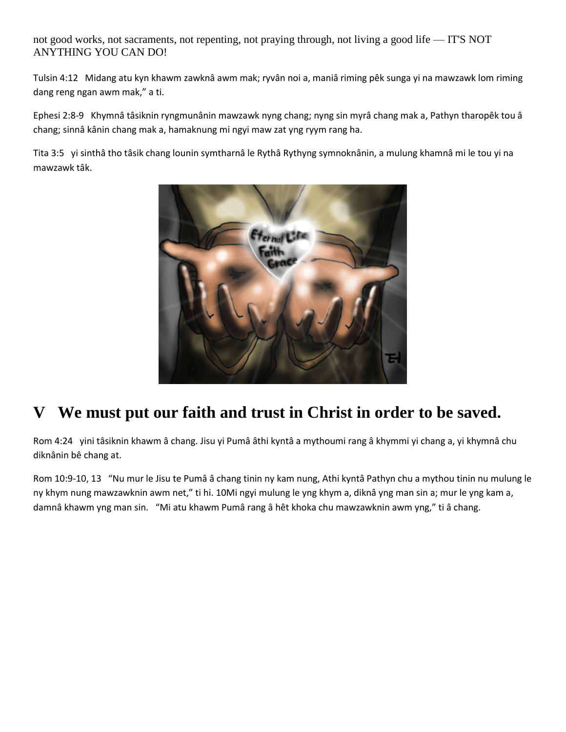not good works, not sacraments, not repenting, not praying through, not living a good life — IT'S NOT ANYTHING YOU CAN DO!

Tulsin 4:12 Midang atu kyn khawm zawknâ awm mak; ryvân noi a, maniâ riming pêk sunga yi na mawzawk lom riming dang reng ngan awm mak," a ti.

Ephesi 2:8-9 Khymnâ tâsiknin ryngmunânin mawzawk nyng chang; nyng sin myrâ chang mak a, Pathyn tharopêk tou â chang; sinnâ kânin chang mak a, hamaknung mi ngyi maw zat yng ryym rang ha.

Tita 3:5 yi sinthâ tho tâsik chang lounin symtharnâ le Rythâ Rythyng symnoknânin, a mulung khamnâ mi le tou yi na mawzawk tâk.



# **V We must put our faith and trust in Christ in order to be saved.**

Rom 4:24 yini tâsiknin khawm â chang. Jisu yi Pumâ âthi kyntâ a mythoumi rang â khymmi yi chang a, yi khymnâ chu diknânin bê chang at.

Rom 10:9-10, 13 "Nu mur le Jisu te Pumâ â chang tinin ny kam nung, Athi kyntâ Pathyn chu a mythou tinin nu mulung le ny khym nung mawzawknin awm net," ti hi. 10Mi ngyi mulung le yng khym a, diknâ yng man sin a; mur le yng kam a, damnâ khawm yng man sin. "Mi atu khawm Pumâ rang â hêt khoka chu mawzawknin awm yng," ti â chang.